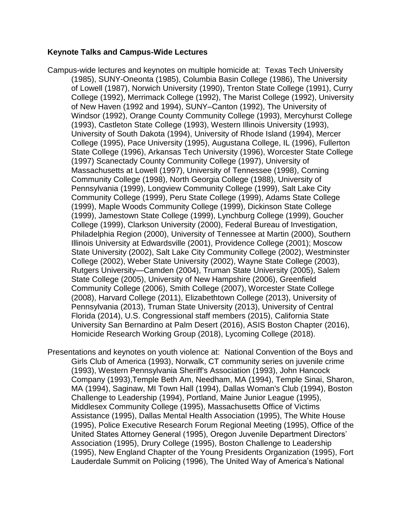## **Keynote Talks and Campus-Wide Lectures**

- Campus-wide lectures and keynotes on multiple homicide at: Texas Tech University (1985), SUNY-Oneonta (1985), Columbia Basin College (1986), The University of Lowell (1987), Norwich University (1990), Trenton State College (1991), Curry College (1992), Merrimack College (1992), The Marist College (1992), University of New Haven (1992 and 1994), SUNY–Canton (1992), The University of Windsor (1992), Orange County Community College (1993), Mercyhurst College (1993), Castleton State College (1993), Western Illinois University (1993), University of South Dakota (1994), University of Rhode Island (1994), Mercer College (1995), Pace University (1995), Augustana College, IL (1996), Fullerton State College (1996), Arkansas Tech University (1996), Worcester State College (1997) Scanectady County Community College (1997), University of Massachusetts at Lowell (1997), University of Tennessee (1998), Corning Community College (1998), North Georgia College (1988), University of Pennsylvania (1999), Longview Community College (1999), Salt Lake City Community College (1999), Peru State College (1999), Adams State College (1999), Maple Woods Community College (1999), Dickinson State College (1999), Jamestown State College (1999), Lynchburg College (1999), Goucher College (1999), Clarkson University (2000), Federal Bureau of Investigation, Philadelphia Region (2000), University of Tennessee at Martin (2000), Southern Illinois University at Edwardsville (2001), Providence College (2001); Moscow State University (2002), Salt Lake City Community College (2002), Westminster College (2002), Weber State University (2002), Wayne State College (2003), Rutgers University—Camden (2004), Truman State University (2005), Salem State College (2005), University of New Hampshire (2006), Greenfield Community College (2006), Smith College (2007), Worcester State College (2008), Harvard College (2011), Elizabethtown College (2013), University of Pennsylvania (2013), Truman State University (2013), University of Central Florida (2014), U.S. Congressional staff members (2015), California State University San Bernardino at Palm Desert (2016), ASIS Boston Chapter (2016), Homicide Research Working Group (2018), Lycoming College (2018).
- Presentations and keynotes on youth violence at: National Convention of the Boys and Girls Club of America (1993), Norwalk, CT community series on juvenile crime (1993), Western Pennsylvania Sheriff's Association (1993), John Hancock Company (1993),Temple Beth Am, Needham, MA (1994), Temple Sinai, Sharon, MA (1994), Saginaw, MI Town Hall (1994), Dallas Woman's Club (1994), Boston Challenge to Leadership (1994), Portland, Maine Junior League (1995), Middlesex Community College (1995), Massachusetts Office of Victims Assistance (1995), Dallas Mental Health Association (1995), The White House (1995), Police Executive Research Forum Regional Meeting (1995), Office of the United States Attorney General (1995), Oregon Juvenile Department Directors' Association (1995), Drury College (1995), Boston Challenge to Leadership (1995), New England Chapter of the Young Presidents Organization (1995), Fort Lauderdale Summit on Policing (1996), The United Way of America's National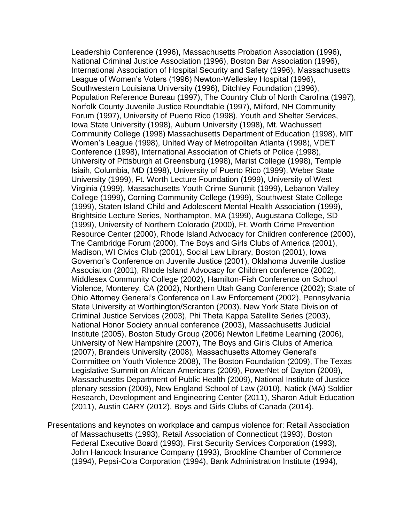Leadership Conference (1996), Massachusetts Probation Association (1996), National Criminal Justice Association (1996), Boston Bar Association (1996), International Association of Hospital Security and Safety (1996), Massachusetts League of Women's Voters (1996) Newton-Wellesley Hospital (1996), Southwestern Louisiana University (1996), Ditchley Foundation (1996), Population Reference Bureau (1997), The Country Club of North Carolina (1997), Norfolk County Juvenile Justice Roundtable (1997), Milford, NH Community Forum (1997), University of Puerto Rico (1998), Youth and Shelter Services, Iowa State University (1998), Auburn University (1998), Mt. Wachussett Community College (1998) Massachusetts Department of Education (1998), MIT Women's League (1998), United Way of Metropolitan Atlanta (1998), VDET Conference (1998), International Association of Chiefs of Police (1998), University of Pittsburgh at Greensburg (1998), Marist College (1998), Temple Isiaih, Columbia, MD (1998), University of Puerto Rico (1999), Weber State University (1999), Ft. Worth Lecture Foundation (1999), University of West Virginia (1999), Massachusetts Youth Crime Summit (1999), Lebanon Valley College (1999), Corning Community College (1999), Southwest State College (1999), Staten Island Child and Adolescent Mental Health Association (1999), Brightside Lecture Series, Northampton, MA (1999), Augustana College, SD (1999), University of Northern Colorado (2000), Ft. Worth Crime Prevention Resource Center (2000), Rhode Island Advocacy for Children conference (2000), The Cambridge Forum (2000), The Boys and Girls Clubs of America (2001), Madison, WI Civics Club (2001), Social Law Library, Boston (2001), Iowa Governor's Conference on Juvenile Justice (2001), Oklahoma Juvenile Justice Association (2001), Rhode Island Advocacy for Children conference (2002), Middlesex Community College (2002), Hamilton-Fish Conference on School Violence, Monterey, CA (2002), Northern Utah Gang Conference (2002); State of Ohio Attorney General's Conference on Law Enforcement (2002), Pennsylvania State University at Worthington/Scranton (2003). New York State Division of Criminal Justice Services (2003), Phi Theta Kappa Satellite Series (2003), National Honor Society annual conference (2003), Massachusetts Judicial Institute (2005), Boston Study Group (2006) Newton Lifetime Learning (2006), University of New Hampshire (2007), The Boys and Girls Clubs of America (2007), Brandeis University (2008), Massachusetts Attorney General's Committee on Youth Violence 2008), The Boston Foundation (2009), The Texas Legislative Summit on African Americans (2009), PowerNet of Dayton (2009), Massachusetts Department of Public Health (2009), National Institute of Justice plenary session (2009), New England School of Law (2010), Natick (MA) Soldier Research, Development and Engineering Center (2011), Sharon Adult Education (2011), Austin CARY (2012), Boys and Girls Clubs of Canada (2014).

Presentations and keynotes on workplace and campus violence for: Retail Association of Massachusetts (1993), Retail Association of Connecticut (1993), Boston Federal Executive Board (1993), First Security Services Corporation (1993), John Hancock Insurance Company (1993), Brookline Chamber of Commerce (1994), Pepsi-Cola Corporation (1994), Bank Administration Institute (1994),